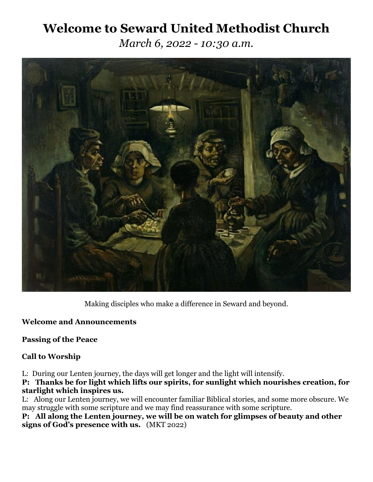# **Welcome to Seward United Methodist Church**

*March 6, 2022 - 10:30 a.m.*



Making disciples who make a difference in Seward and beyond.

## **Welcome and Announcements**

## **Passing of the Peace**

## **Call to Worship**

L: During our Lenten journey, the days will get longer and the light will intensify.

**P: Thanks be for light which lifts our spirits, for sunlight which nourishes creation, for starlight which inspires us.** 

L: Along our Lenten journey, we will encounter familiar Biblical stories, and some more obscure. We may struggle with some scripture and we may find reassurance with some scripture.

**P: All along the Lenten journey, we will be on watch for glimpses of beauty and other signs of God's presence with us.** (MKT 2022)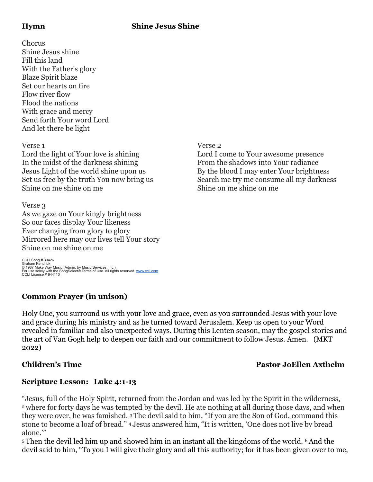## **Hymn Shine Jesus Shine**

Chorus Shine Jesus shine Fill this land With the Father's glory Blaze Spirit blaze Set our hearts on fire Flow river flow Flood the nations With grace and mercy Send forth Your word Lord And let there be light

Lord the light of Your love is shining Lord I come to Your awesome presence In the midst of the darkness shining From the shadows into Your radiance Shine on me shine on me Shine on me shine on me

Verse 3 As we gaze on Your kingly brightness So our faces display Your likeness Ever changing from glory to glory Mirrored here may our lives tell Your story Shine on me shine on me

CCLI Song # 30426 Graham Kendrick<br>© 1987 Make Way Music (Admin. by Music Services, Inc.)<br>For use solely with the SongSelect® Terms of Use. All rights reserved. <u>[www.ccli.com](http://www.ccli.com/)</u><br>CCLI License # 944110

## **Common Prayer (in unison)**

Holy One, you surround us with your love and grace, even as you surrounded Jesus with your love and grace during his ministry and as he turned toward Jerusalem. Keep us open to your Word revealed in familiar and also unexpected ways. During this Lenten season, may the gospel stories and the art of Van Gogh help to deepen our faith and our commitment to follow Jesus. Amen. (MKT 2022)

### **Children's Time Pastor JoEllen Axthelm**

## **Scripture Lesson: Luke 4:1-13**

"Jesus, full of the Holy Spirit, returned from the Jordan and was led by the Spirit in the wilderness, <sup>2</sup> where for forty days he was tempted by the devil. He ate nothing at all during those days, and when they were over, he was famished. 3 The devil said to him, "If you are the Son of God, command this stone to become a loaf of bread." 4 Jesus answered him, "It is written, 'One does not live by bread alone.'"

<sup>5</sup> Then the devil led him up and showed him in an instant all the kingdoms of the world. 6And the devil said to him, "To you I will give their glory and all this authority; for it has been given over to me,

### Verse 1 Verse 2

Jesus Light of the world shine upon us By the blood I may enter Your brightness Set us free by the truth You now bring us Search me try me consume all my darkness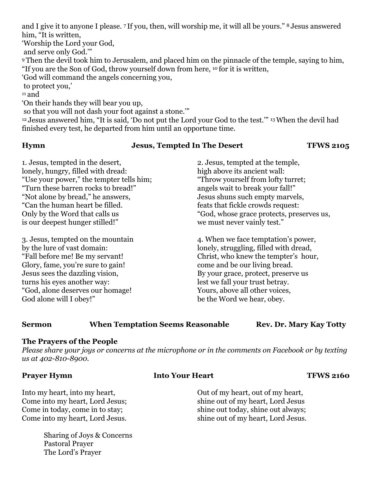and I give it to anyone I please. 7 If you, then, will worship me, it will all be yours." 8 Jesus answered him, "It is written,

'Worship the Lord your God,

and serve only God.'"

<sup>9</sup> Then the devil took him to Jerusalem, and placed him on the pinnacle of the temple, saying to him, "If you are the Son of God, throw yourself down from here, 10 for it is written,

'God will command the angels concerning you,

to protect you,'

 $11$  and

'On their hands they will bear you up,

so that you will not dash your foot against a stone.'"

<sup>12</sup> Jesus answered him, "It is said, 'Do not put the Lord your God to the test.'" 13When the devil had finished every test, he departed from him until an opportune time.

### **Hymn Jesus, Tempted In The Desert TFWS 2105**

1. Jesus, tempted in the desert, 2. Jesus, tempted at the temple, lonely, hungry, filled with dread: high above its ancient wall: "Use your power," the tempter tells him; "Throw yourself from lofty turret; "Turn these barren rocks to bread!" "Not alone by bread," he answers, Jesus shuns such empty marvels, "Can the human heart be filled. The seats that fickle crowds request: is our deepest hunger stilled!" we must never vainly test."

Glory, fame, you're sure to gain! come and be our living bread. Jesus sees the dazzling vision, By your grace, protect, preserve us turns his eyes another way: lest we fall your trust betray. "God, alone deserves our homage! Yours, above all other voices, God alone will I obey!" be the Word we hear, obey.

Only by the Word that calls us "God, whose grace protects, preserves us,

3. Jesus, tempted on the mountain 4. When we face temptation's power, by the lure of vast domain: lonely, struggling, filled with dread, "Fall before me! Be my servant! Christ, who knew the tempter's hour,

## **Sermon When Temptation Seems Reasonable Rev. Dr. Mary Kay Totty**

### **The Prayers of the People**

*Please share your joys or concerns at the microphone or in the comments on Facebook or by texting us at 402-810-8900.*

### **Prayer Hymn Into Your Heart TFWS 2160**

Into my heart, into my heart,  $\frac{1}{2}$  Out of my heart, out of my heart,

Sharing of Joys & Concerns Pastoral Prayer The Lord's Prayer

Come into my heart, Lord Jesus; shine out of my heart, Lord Jesus Come in today, come in to stay; shine out today, shine out always; Come into my heart, Lord Jesus. shine out of my heart, Lord Jesus.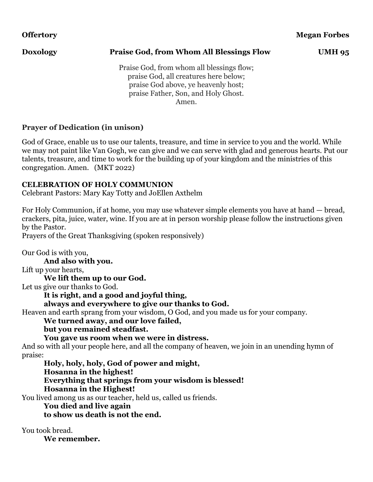### **Doxology Praise God, from Whom All Blessings Flow UMH 95**

Praise God, from whom all blessings flow; praise God, all creatures here below; praise God above, ye heavenly host; praise Father, Son, and Holy Ghost. Amen.

### **Prayer of Dedication (in unison)**

God of Grace, enable us to use our talents, treasure, and time in service to you and the world. While we may not paint like Van Gogh, we can give and we can serve with glad and generous hearts. Put our talents, treasure, and time to work for the building up of your kingdom and the ministries of this congregation. Amen. (MKT 2022)

### **CELEBRATION OF HOLY COMMUNION**

Celebrant Pastors: Mary Kay Totty and JoEllen Axthelm

For Holy Communion, if at home, you may use whatever simple elements you have at hand — bread, crackers, pita, juice, water, wine. If you are at in person worship please follow the instructions given by the Pastor.

Prayers of the Great Thanksgiving (spoken responsively)

Our God is with you, **And also with you.** Lift up your hearts, **We lift them up to our God.** Let us give our thanks to God. **It is right, and a good and joyful thing, always and everywhere to give our thanks to God.** Heaven and earth sprang from your wisdom, O God, and you made us for your company. **We turned away, and our love failed, but you remained steadfast. You gave us room when we were in distress.**  And so with all your people here, and all the company of heaven, we join in an unending hymn of praise: **Holy, holy, holy, God of power and might, Hosanna in the highest! Everything that springs from your wisdom is blessed! Hosanna in the Highest!** You lived among us as our teacher, held us, called us friends. **You died and live again to show us death is not the end.** 

You took bread.

**We remember.**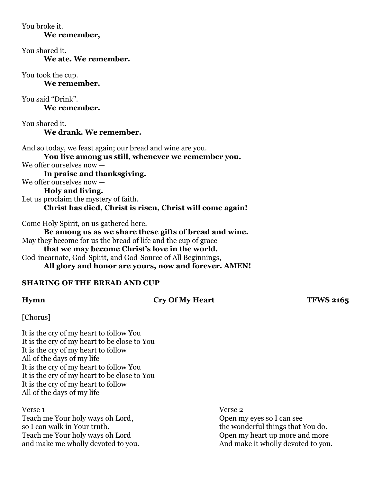| You broke it.<br>We remember,                                                                                                                 |
|-----------------------------------------------------------------------------------------------------------------------------------------------|
| You shared it.<br>We ate. We remember.                                                                                                        |
| You took the cup.<br>We remember.                                                                                                             |
| You said "Drink".<br>We remember.                                                                                                             |
| You shared it.<br>We drank. We remember.                                                                                                      |
| And so today, we feast again; our bread and wine are you.<br>You live among us still, whenever we remember you.<br>We offer ourselves now $-$ |
| In praise and thanks giving.<br>We offer ourselves now $-$                                                                                    |
| Holy and living.<br>Let us proclaim the mystery of faith.<br>Christ has died, Christ is risen, Christ will come again!                        |
| Come Holy Spirit, on us gathered here.<br>Be among us as we share these gifts of bread and wine.                                              |

May they become for us the bread of life and the cup of grace **that we may become Christ's love in the world.**  God-incarnate, God-Spirit, and God-Source of All Beginnings,

**All glory and honor are yours, now and forever. AMEN!** 

### **SHARING OF THE BREAD AND CUP**

### **Hymn Cry Of My Heart TFWS 2165**

[Chorus]

It is the cry of my heart to follow You It is the cry of my heart to be close to You It is the cry of my heart to follow All of the days of my life It is the cry of my heart to follow You It is the cry of my heart to be close to You It is the cry of my heart to follow All of the days of my life

Verse 1 Verse 2 Teach me Your holy ways oh Lord, Open my eyes so I can see so I can walk in Your truth. the wonderful things that You do. Teach me Your holy ways oh Lord Open my heart up more and more and make me wholly devoted to you. And make it wholly devoted to you.